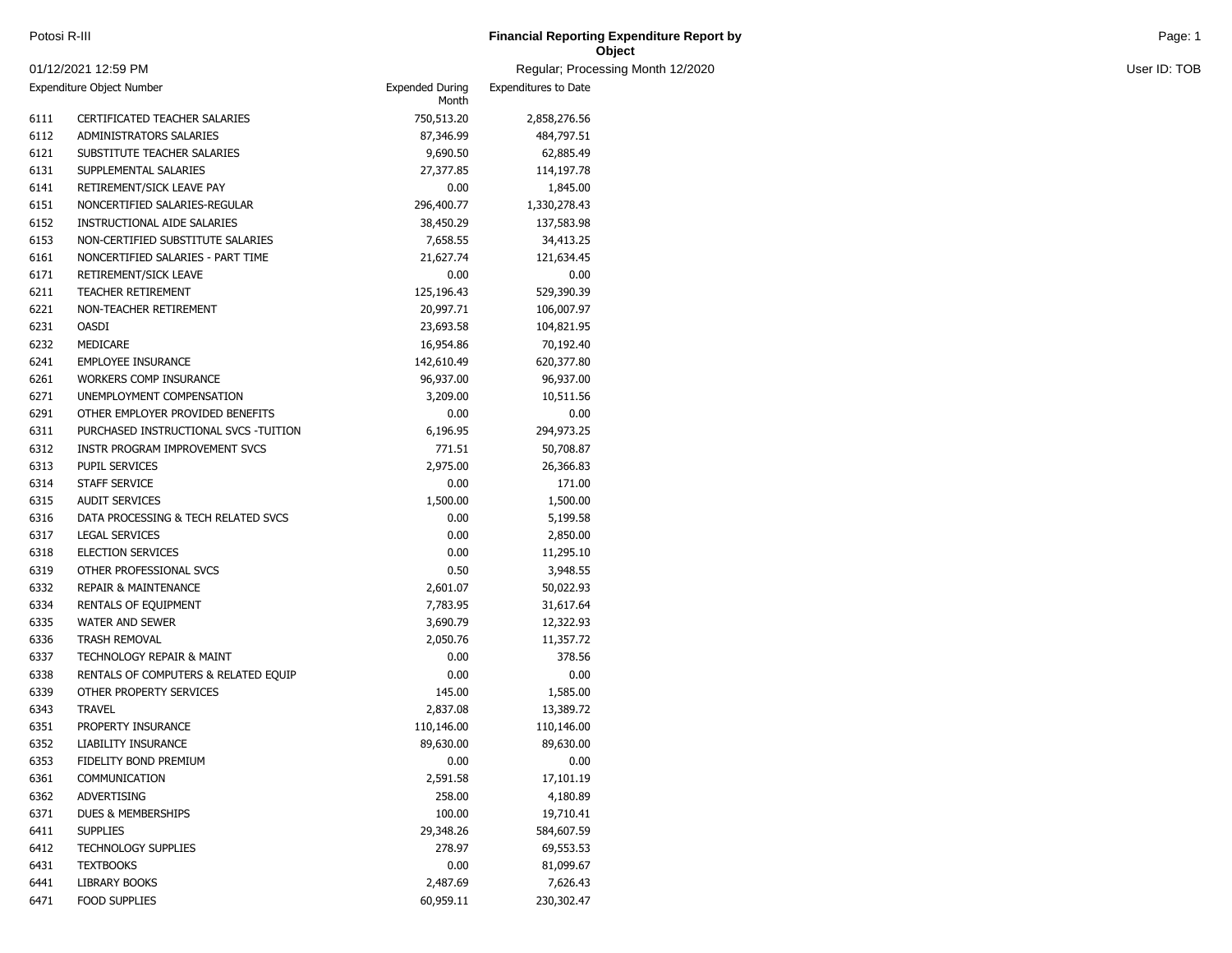| Potosi R-III | <b>Financial Reporting Expenditure Report by</b><br>the contract of the contract of the contract of the contract of the contract of the contract of the contract of | Page <sup>-</sup> |
|--------------|---------------------------------------------------------------------------------------------------------------------------------------------------------------------|-------------------|
|              | Object                                                                                                                                                              |                   |

and Month 12/2020 User ID: TOB

|                           | 01/12/2021 12:59 PM                   |                                 | Regular; Processi           |
|---------------------------|---------------------------------------|---------------------------------|-----------------------------|
| Expenditure Object Number |                                       | <b>Expended During</b><br>Month | <b>Expenditures to Date</b> |
| 6111                      | CERTIFICATED TEACHER SALARIES         | 750,513.20                      | 2,858,276.56                |
| 6112                      | ADMINISTRATORS SALARIES               | 87,346.99                       | 484,797.51                  |
| 6121                      | SUBSTITUTE TEACHER SALARIES           | 9,690.50                        | 62,885.49                   |
| 6131                      | SUPPLEMENTAL SALARIES                 | 27,377.85                       | 114,197.78                  |
| 6141                      | RETIREMENT/SICK LEAVE PAY             | 0.00                            | 1,845.00                    |
| 6151                      | NONCERTIFIED SALARIES-REGULAR         | 296,400.77                      | 1,330,278.43                |
| 6152                      | INSTRUCTIONAL AIDE SALARIES           | 38,450.29                       | 137,583.98                  |
| 6153                      | NON-CERTIFIED SUBSTITUTE SALARIES     | 7,658.55                        | 34,413.25                   |
| 6161                      | NONCERTIFIED SALARIES - PART TIME     | 21,627.74                       | 121,634.45                  |
| 6171                      | RETIREMENT/SICK LEAVE                 | 0.00                            | 0.00                        |
| 6211                      | <b>TEACHER RETIREMENT</b>             | 125,196.43                      | 529,390.39                  |
| 6221                      | NON-TEACHER RETIREMENT                | 20,997.71                       | 106,007.97                  |
| 6231                      | <b>OASDI</b>                          | 23,693.58                       | 104,821.95                  |
| 6232                      | MEDICARE                              | 16,954.86                       | 70,192.40                   |
| 6241                      | <b>EMPLOYEE INSURANCE</b>             | 142,610.49                      | 620,377.80                  |
| 6261                      | <b>WORKERS COMP INSURANCE</b>         | 96,937.00                       | 96,937.00                   |
| 6271                      | UNEMPLOYMENT COMPENSATION             | 3,209.00                        | 10,511.56                   |
| 6291                      | OTHER EMPLOYER PROVIDED BENEFITS      | 0.00                            | 0.00                        |
| 6311                      | PURCHASED INSTRUCTIONAL SVCS -TUITION | 6,196.95                        | 294,973.25                  |
| 6312                      | INSTR PROGRAM IMPROVEMENT SVCS        | 771.51                          | 50,708.87                   |
| 6313                      | PUPIL SERVICES                        | 2,975.00                        | 26,366.83                   |
| 6314                      | STAFF SERVICE                         | 0.00                            | 171.00                      |
| 6315                      | <b>AUDIT SERVICES</b>                 | 1,500.00                        | 1,500.00                    |
| 6316                      | DATA PROCESSING & TECH RELATED SVCS   | 0.00                            | 5,199.58                    |
| 6317                      | <b>LEGAL SERVICES</b>                 | 0.00                            | 2,850.00                    |
| 6318                      | <b>ELECTION SERVICES</b>              | 0.00                            | 11,295.10                   |
| 6319                      | OTHER PROFESSIONAL SVCS               | 0.50                            | 3,948.55                    |
| 6332                      | <b>REPAIR &amp; MAINTENANCE</b>       | 2,601.07                        | 50,022.93                   |
| 6334                      | RENTALS OF EQUIPMENT                  | 7,783.95                        | 31,617.64                   |
| 6335                      | <b>WATER AND SEWER</b>                | 3,690.79                        | 12,322.93                   |
| 6336                      | <b>TRASH REMOVAL</b>                  | 2,050.76                        | 11,357.72                   |
| 6337                      | <b>TECHNOLOGY REPAIR &amp; MAINT</b>  | 0.00                            | 378.56                      |
| 6338                      | RENTALS OF COMPUTERS & RELATED EQUIP  | 0.00                            | 0.00                        |
| 6339                      | OTHER PROPERTY SERVICES               | 145.00                          | 1,585.00                    |
| 6343                      | <b>TRAVEL</b>                         | 2,837.08                        | 13,389.72                   |
| 6351                      | PROPERTY INSURANCE                    | 110,146.00                      | 110,146.00                  |
| 6352                      | LIABILITY INSURANCE                   | 89,630.00                       | 89,630.00                   |
| 6353                      | FIDELITY BOND PREMIUM                 | 0.00                            | 0.00                        |
| 6361                      | COMMUNICATION                         | 2,591.58                        | 17,101.19                   |
| 6362                      | ADVERTISING                           | 258.00                          | 4,180.89                    |
| 6371                      | DUES & MEMBERSHIPS                    | 100.00                          | 19,710.41                   |
| 6411                      | <b>SUPPLIES</b>                       | 29,348.26                       | 584,607.59                  |
| 6412                      | <b>TECHNOLOGY SUPPLIES</b>            | 278.97                          | 69,553.53                   |
| 6431                      | <b>TEXTBOOKS</b>                      | 0.00                            | 81,099.67                   |
| 6441                      | LIBRARY BOOKS                         | 2,487.69                        | 7,626.43                    |
| 6471                      | <b>FOOD SUPPLIES</b>                  | 60,959.11                       | 230,302.47                  |